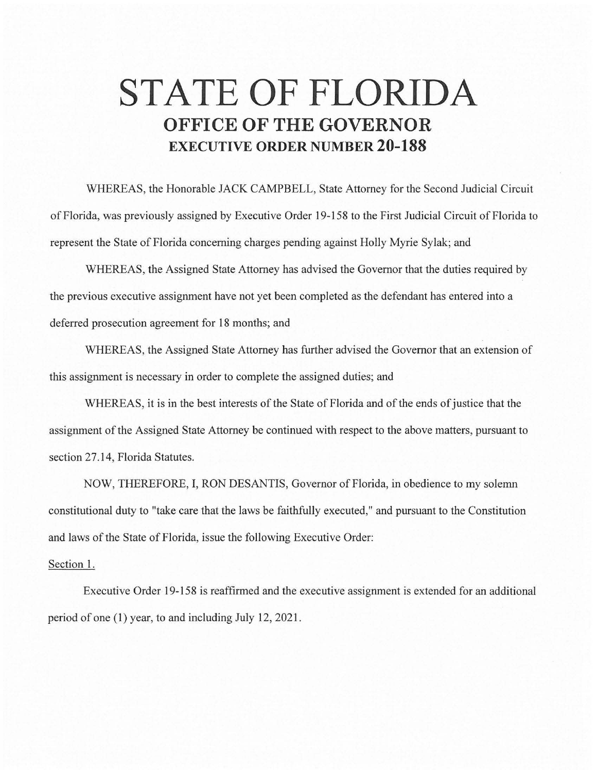## **STATE OF FLORIDA OFFICE OF THE GOVERNOR EXECUTIVE ORDER NUMBER 20-188**

WHEREAS, the Honorable JACK CAMPBELL, State Attorney for the Second Judicial Circuit of Florida, was previously assigned by Executive Order 19-15 8 to the First Judicial Circuit of Florida to represent the State of Florida concerning charges pending against Holly Myrie Sylak; and

WHEREAS, the Assigned State Attorney has advised the Governor that the duties required by the previous executive assignment have not yet been completed as the defendant has entered into a deferred prosecution agreement for 18 months; and

WHEREAS, the Assigned State Attorney has further advised the Governor that an extension of this assignment is necessary in order to complete the assigned duties; and

WHEREAS, it is in the best interests of the State of Florida and of the ends of justice that the assignment of the Assigned State Attorney be continued with respect to the above matters, pursuant to section 27.14, Florida Statutes.

NOW, THEREFORE, I, RON DESANTIS, Governor of Florida, in obedience to my solemn constitutional duty to "take care that the laws be faithfully executed," and pursuant to the Constitution and laws of the State of Florida, issue the following Executive Order:

## Section 1.

Executive Order 19-158 is reaffirmed and the executive assignment is extended for an additional period of one (1) year, to and including July 12, 2021.